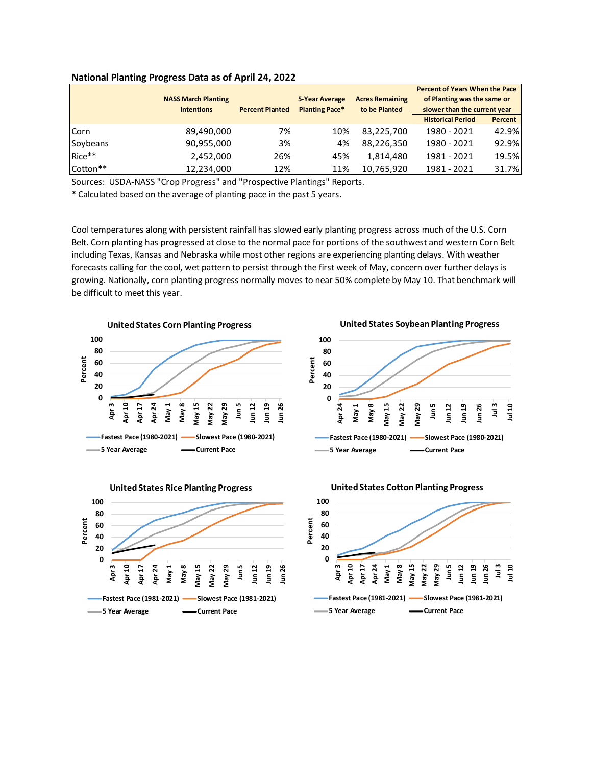|          |                            |                        |                       |                        | <b>Percent of Years When the Pace</b> |                |
|----------|----------------------------|------------------------|-----------------------|------------------------|---------------------------------------|----------------|
|          | <b>NASS March Planting</b> |                        | <b>5-Year Average</b> | <b>Acres Remaining</b> | of Planting was the same or           |                |
|          | <b>Intentions</b>          | <b>Percent Planted</b> | <b>Planting Pace*</b> | to be Planted          | slower than the current year          |                |
|          |                            |                        |                       |                        | <b>Historical Period</b>              | <b>Percent</b> |
| Corn     | 89,490,000                 | 7%                     | 10%                   | 83,225,700             | 1980 - 2021                           | 42.9%          |
| Soybeans | 90,955,000                 | 3%                     | 4%                    | 88,226,350             | 1980 - 2021                           | 92.9%          |
| Rice**   | 2,452,000                  | 26%                    | 45%                   | 1.814.480              | 1981 - 2021                           | 19.5%          |
| Cotton** | 12,234,000                 | 12%                    | 11%                   | 10,765,920             | 1981 - 2021                           | 31.7%          |

## **National Planting Progress Data as of April 24, 2022**

Sources: USDA-NASS "Crop Progress" and "Prospective Plantings" Reports.

\* Calculated based on the average of planting pace in the past 5 years.

Cool temperatures along with persistent rainfall has slowed early planting progress across much of the U.S. Corn Belt. Corn planting has progressed at close to the normal pace for portions of the southwest and western Corn Belt including Texas, Kansas and Nebraska while most other regions are experiencing planting delays. With weather forecasts calling for the cool, wet pattern to persist through the first week of May, concern over further delays is growing. Nationally, corn planting progress normally moves to near 50% complete by May 10. That benchmark will be difficult to meet this year.